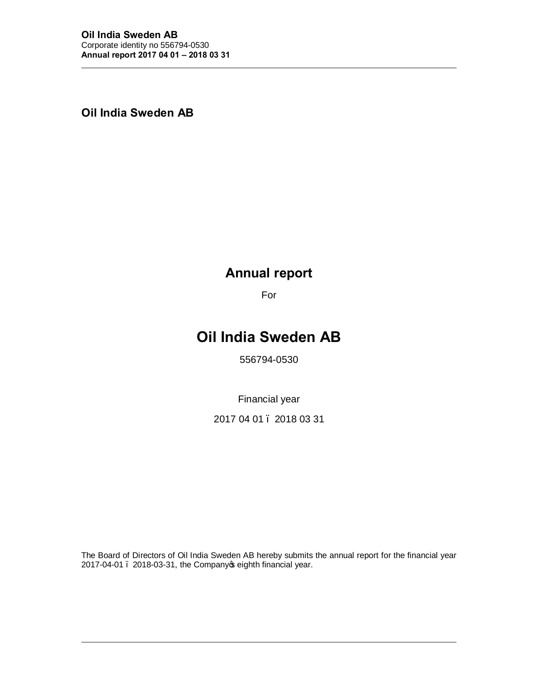**Oil India Sweden AB**

# **Annual report**

For

# **Oil India Sweden AB**

556794-0530

Financial year

2017 04 01 – 2018 03 31

The Board of Directors of Oil India Sweden AB hereby submits the annual report for the financial year 2017-04-01 . 2018-03-31, the Company opeighth financial year.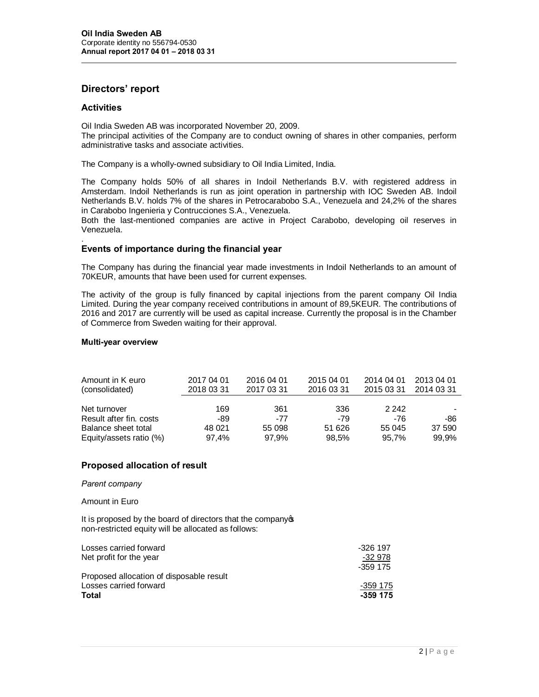# **Directors' report**

# **Activities**

Oil India Sweden AB was incorporated November 20, 2009. The principal activities of the Company are to conduct owning of shares in other companies, perform administrative tasks and associate activities.

The Company is a wholly-owned subsidiary to Oil India Limited, India.

The Company holds 50% of all shares in Indoil Netherlands B.V. with registered address in Amsterdam. Indoil Netherlands is run as joint operation in partnership with IOC Sweden AB. Indoil Netherlands B.V. holds 7% of the shares in Petrocarabobo S.A., Venezuela and 24,2% of the shares in Carabobo Ingenieria y Contrucciones S.A., Venezuela.

Both the last-mentioned companies are active in Project Carabobo, developing oil reserves in Venezuela.

#### . **Events of importance during the financial year**

The Company has during the financial year made investments in Indoil Netherlands to an amount of 70KEUR, amounts that have been used for current expenses.

The activity of the group is fully financed by capital injections from the parent company Oil India Limited. During the year company received contributions in amount of 89,5KEUR. The contributions of 2016 and 2017 are currently will be used as capital increase. Currently the proposal is in the Chamber of Commerce from Sweden waiting for their approval.

#### **Multi-year overview**

| Amount in K euro<br>(consolidated) | 2017 04 01<br>2018 03 31 | 2016 04 01<br>2017 03 31 | 2015 04 01<br>2016 03 31 | 2014 04 01<br>2015 03 31 | 2013 04 01<br>2014 03 31 |
|------------------------------------|--------------------------|--------------------------|--------------------------|--------------------------|--------------------------|
| Net turnover                       | 169                      | 361                      | 336                      | 2 2 4 2                  |                          |
| Result after fin. costs            | -89                      | $-77$                    | -79                      | -76                      | -86                      |
| Balance sheet total                | 48 021                   | 55 098                   | 51 626                   | 55 045                   | 37 590                   |
| Equity/assets ratio (%)            | 97.4%                    | 97.9%                    | 98,5%                    | 95.7%                    | 99,9%                    |

### **Proposed allocation of result**

#### *Parent company*

#### Amount in Euro

It is proposed by the board of directors that the company of non-restricted equity will be allocated as follows:

| Losses carried forward                   | -326 197 |
|------------------------------------------|----------|
| Net profit for the year                  | -32 978  |
|                                          | -359 175 |
| Proposed allocation of disposable result |          |
| Losses carried forward                   | -359 175 |
| Total                                    | -359 175 |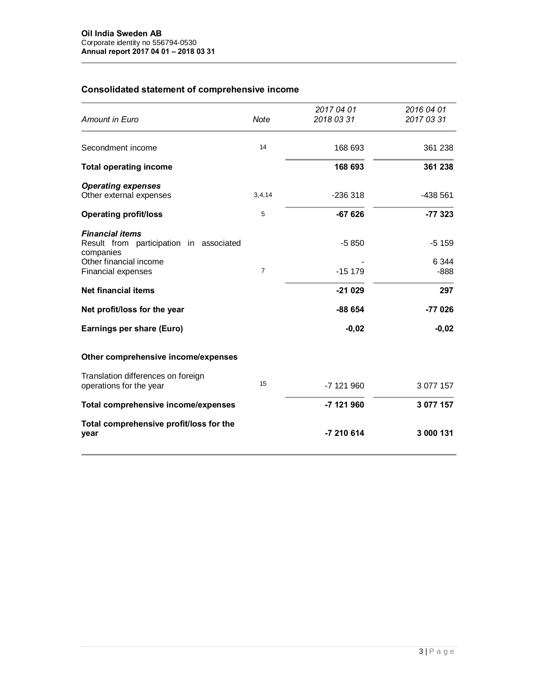# **Consolidated statement of comprehensive income**

| Amount in Euro                                                                                                                        | Note           | 2017 04 01<br>2018 03 31 | 2016 04 01<br>2017 03 31   |
|---------------------------------------------------------------------------------------------------------------------------------------|----------------|--------------------------|----------------------------|
| Secondment income                                                                                                                     | 14             | 168 693                  | 361 238                    |
| <b>Total operating income</b>                                                                                                         |                | 168 693                  | 361 238                    |
| <b>Operating expenses</b><br>Other external expenses                                                                                  | 3,4,14         | $-236318$                | -438 561                   |
| <b>Operating profit/loss</b>                                                                                                          | 5              | $-67626$                 | $-77323$                   |
| <b>Financial items</b><br>Result from participation in associated<br>companies<br>Other financial income<br><b>Financial expenses</b> | $\overline{7}$ | $-5850$<br>$-15179$      | $-5159$<br>6 3 4 4<br>-888 |
| Net financial items                                                                                                                   |                | $-21029$                 | 297                        |
| Net profit/loss for the year                                                                                                          |                | $-88654$                 | -77 026                    |
| Earnings per share (Euro)                                                                                                             |                | $-0,02$                  | $-0,02$                    |
| Other comprehensive income/expenses                                                                                                   |                |                          |                            |
| Translation differences on foreign<br>operations for the year                                                                         | 15             | -7 121 960               | 3 077 157                  |
| Total comprehensive income/expenses                                                                                                   |                | -7 121 960               | 3 077 157                  |
| Total comprehensive profit/loss for the<br>year                                                                                       |                | -7 210 614               | 3 000 131                  |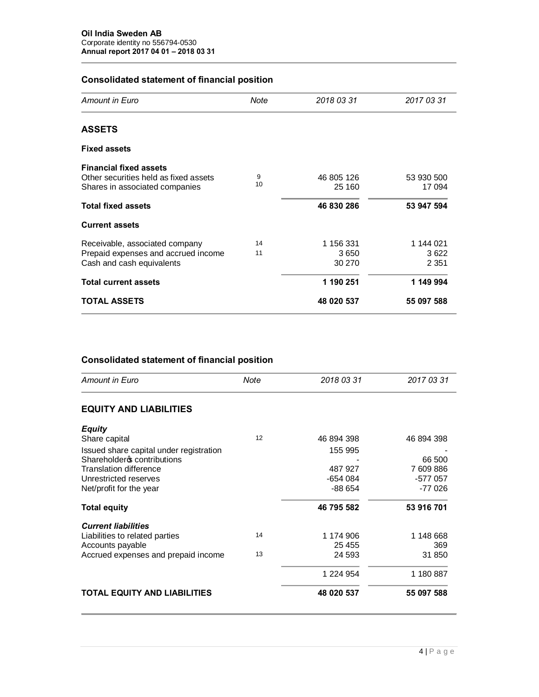# **Consolidated statement of financial position**

| Amount in Euro                                                                                           | Note     | 2018 03 31                  | 2017 03 31                   |
|----------------------------------------------------------------------------------------------------------|----------|-----------------------------|------------------------------|
|                                                                                                          |          |                             |                              |
| <b>ASSETS</b>                                                                                            |          |                             |                              |
| <b>Fixed assets</b>                                                                                      |          |                             |                              |
| <b>Financial fixed assets</b><br>Other securities held as fixed assets<br>Shares in associated companies | 9<br>10  | 46 805 126<br>25 160        | 53 930 500<br>17 094         |
| <b>Total fixed assets</b>                                                                                |          | 46 830 286                  | 53 947 594                   |
| <b>Current assets</b>                                                                                    |          |                             |                              |
| Receivable, associated company<br>Prepaid expenses and accrued income<br>Cash and cash equivalents       | 14<br>11 | 1 156 331<br>3650<br>30 270 | 1 144 021<br>3622<br>2 3 5 1 |
| <b>Total current assets</b>                                                                              |          | 1 190 251                   | 1 149 994                    |
| <b>TOTAL ASSETS</b>                                                                                      |          | 48 020 537                  | 55 097 588                   |

# **Consolidated statement of financial position**

| Amount in Euro                          | Note | 2018 03 31 | 2017 03 31 |
|-----------------------------------------|------|------------|------------|
| <b>EQUITY AND LIABILITIES</b>           |      |            |            |
| <b>Equity</b>                           |      |            |            |
| Share capital                           | 12   | 46 894 398 | 46 894 398 |
| Issued share capital under registration |      | 155 995    |            |
| Shareholder ocntributions               |      |            | 66 500     |
| <b>Translation difference</b>           |      | 487 927    | 7 609 886  |
| Unrestricted reserves                   |      | -654 084   | -577 057   |
| Net/profit for the year                 |      | $-88654$   | $-77026$   |
| <b>Total equity</b>                     |      | 46 795 582 | 53 916 701 |
| <b>Current liabilities</b>              |      |            |            |
| Liabilities to related parties          | 14   | 1 174 906  | 1 148 668  |
| Accounts payable                        |      | 25 455     | 369        |
| Accrued expenses and prepaid income     | 13   | 24 593     | 31 850     |
|                                         |      | 1 224 954  | 1 180 887  |
| <b>TOTAL EQUITY AND LIABILITIES</b>     |      | 48 020 537 | 55 097 588 |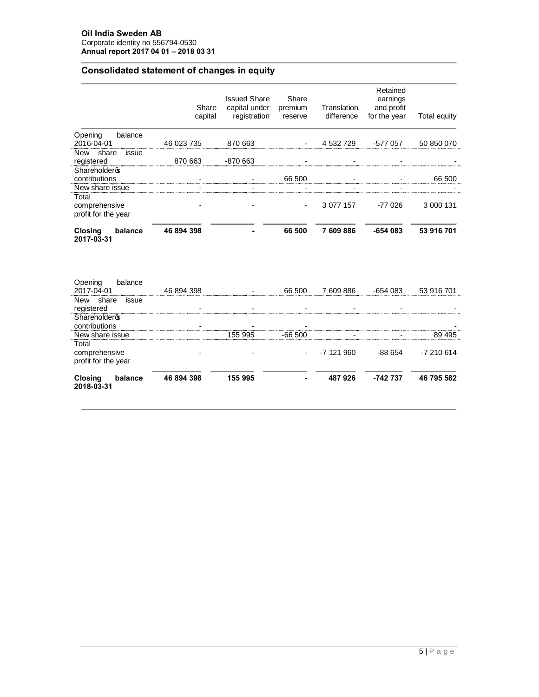# **Consolidated statement of changes in equity**

|                                                   | Share<br>capital | <b>Issued Share</b><br>capital under<br>registration | Share<br>premium<br>reserve | Translation<br>difference | Retained<br>earnings<br>and profit<br>for the year | Total equity |
|---------------------------------------------------|------------------|------------------------------------------------------|-----------------------------|---------------------------|----------------------------------------------------|--------------|
| balance<br>Opening<br>2016-04-01                  | 46 023 735       | 870 663                                              |                             | 4 532 729                 | -577 057                                           | 50 850 070   |
| New share<br>issue<br>registered                  | 870 663          | -870 663                                             |                             |                           |                                                    |              |
| Shareholderos<br>contributions<br>New share issue |                  |                                                      | 66 500                      |                           |                                                    | 66 500       |
| Total<br>comprehensive<br>profit for the year     |                  |                                                      |                             | 3 077 157                 | $-77026$                                           | 3 000 131    |
| Closing<br>balance<br>2017-03-31                  | 46 894 398       |                                                      | 66 500                      | 7 609 886                 | $-654083$                                          | 53 916 701   |
| Opening<br>balance<br>2017-04-01                  | 46 894 398       |                                                      | 66 500                      | 7 609 886                 | $-654083$                                          | 53 916 701   |
| New share<br>issue<br>registered                  |                  |                                                      |                             |                           |                                                    |              |

| Closing<br>balance<br>2018-03-31              | 46 894 398 | 155 995 |          | 487926     | -742 737 | 46 795 582 |
|-----------------------------------------------|------------|---------|----------|------------|----------|------------|
| Total<br>comprehensive<br>profit for the year |            |         | $\sim$   | -7 121 960 | -88 654  | -7 210 614 |
| New share issue                               |            | 155 995 | $-66500$ |            |          | 89 495     |
| Shareholderos<br>contributions                |            |         |          |            |          |            |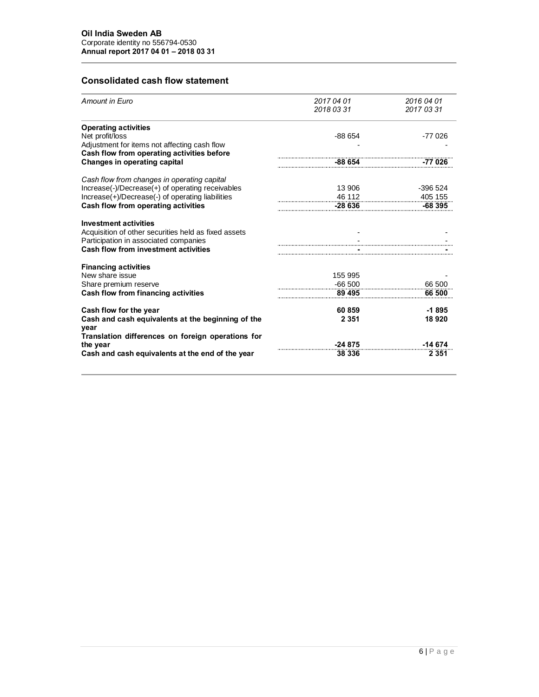# **Consolidated cash flow statement**

| <b>Amount in Euro</b>                                                                      | 2017 04 01<br>2018 03 31 | 2016 04 01<br>2017 03 31 |
|--------------------------------------------------------------------------------------------|--------------------------|--------------------------|
| <b>Operating activities</b>                                                                |                          |                          |
| Net profit/loss                                                                            | $-88654$                 | -77 026                  |
| Adjustment for items not affecting cash flow<br>Cash flow from operating activities before |                          |                          |
| <b>Changes in operating capital</b>                                                        | $-88654$                 | $-77026$                 |
| Cash flow from changes in operating capital                                                |                          |                          |
| Increase(-)/Decrease(+) of operating receivables                                           | 13 906                   | -396 524                 |
| Increase(+)/Decrease(-) of operating liabilities                                           | $\frac{46.112}{2}$       | 405 155                  |
| Cash flow from operating activities                                                        | $-28636$                 | -68 395                  |
| <b>Investment activities</b>                                                               |                          |                          |
| Acquisition of other securities held as fixed assets                                       |                          |                          |
| Participation in associated companies                                                      |                          |                          |
| <b>Cash flow from investment activities</b>                                                |                          |                          |
| <b>Financing activities</b>                                                                |                          |                          |
| New share issue                                                                            | 155 995                  |                          |
| Share premium reserve                                                                      | $-66500$                 | 66 500                   |
| <b>Cash flow from financing activities</b>                                                 | 89 495                   | 66 500                   |
| Cash flow for the year                                                                     | 60 859                   | $-1895$                  |
| Cash and cash equivalents at the beginning of the<br>year                                  | 2 3 5 1                  | 18 9 20                  |
| Translation differences on foreign operations for                                          |                          |                          |
| the year                                                                                   | $-24875$                 | -14 674                  |
| Cash and cash equivalents at the end of the year                                           | 38 336                   | 2 3 5 1                  |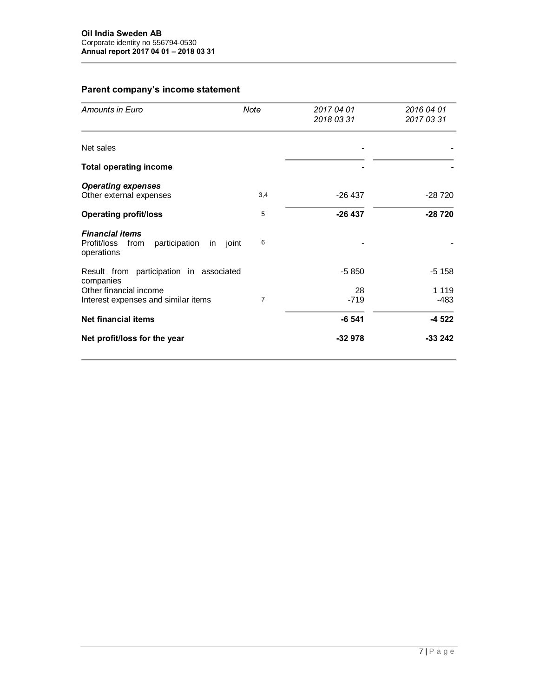# **Parent company's income statement**

| Amounts in Euro                                                                          | Note | 2017 04 01<br>2018 03 31 | 2016 04 01<br>2017 03 31 |
|------------------------------------------------------------------------------------------|------|--------------------------|--------------------------|
| Net sales                                                                                |      |                          |                          |
| <b>Total operating income</b>                                                            |      |                          |                          |
| <b>Operating expenses</b><br>Other external expenses                                     | 3,4  | $-26437$                 | -28 720                  |
| <b>Operating profit/loss</b>                                                             | 5    | $-26437$                 | $-28720$                 |
| <b>Financial items</b><br>Profit/loss from<br>participation<br>joint<br>in<br>operations | 6    |                          |                          |
| Result from participation in associated<br>companies                                     |      | $-5850$                  | $-5158$                  |
| Other financial income<br>Interest expenses and similar items                            | 7    | 28<br>$-719$             | 1 1 1 9<br>$-483$        |
| <b>Net financial items</b>                                                               |      | $-6541$                  | -4 522                   |
| Net profit/loss for the year                                                             |      | $-32978$                 | $-33242$                 |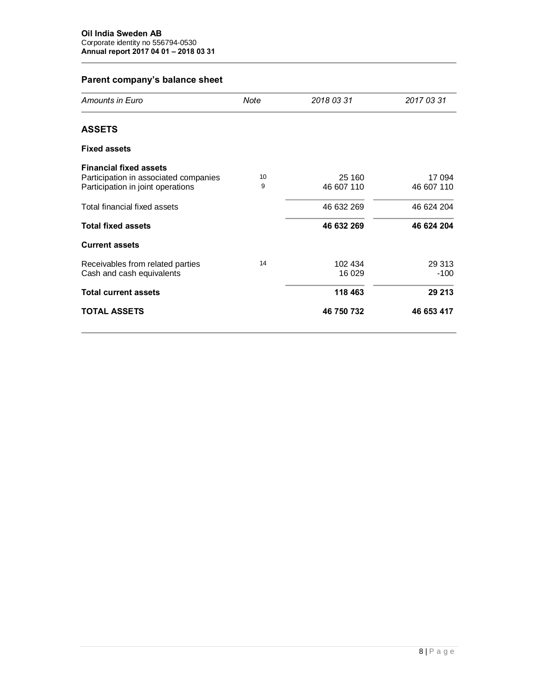# **Parent company's balance sheet**

| Amounts in Euro                                                                                             | Note    | 2018 03 31           | 2017 03 31           |
|-------------------------------------------------------------------------------------------------------------|---------|----------------------|----------------------|
| <b>ASSETS</b>                                                                                               |         |                      |                      |
| <b>Fixed assets</b>                                                                                         |         |                      |                      |
| <b>Financial fixed assets</b><br>Participation in associated companies<br>Participation in joint operations | 10<br>9 | 25 160<br>46 607 110 | 17 094<br>46 607 110 |
| Total financial fixed assets                                                                                |         | 46 632 269           | 46 624 204           |
| <b>Total fixed assets</b>                                                                                   |         | 46 632 269           | 46 624 204           |
| <b>Current assets</b>                                                                                       |         |                      |                      |
| Receivables from related parties<br>Cash and cash equivalents                                               | 14      | 102 434<br>16 029    | 29 313<br>$-100$     |
| <b>Total current assets</b>                                                                                 |         | 118 463              | 29 213               |
| <b>TOTAL ASSETS</b>                                                                                         |         | 46 750 732           | 46 653 417           |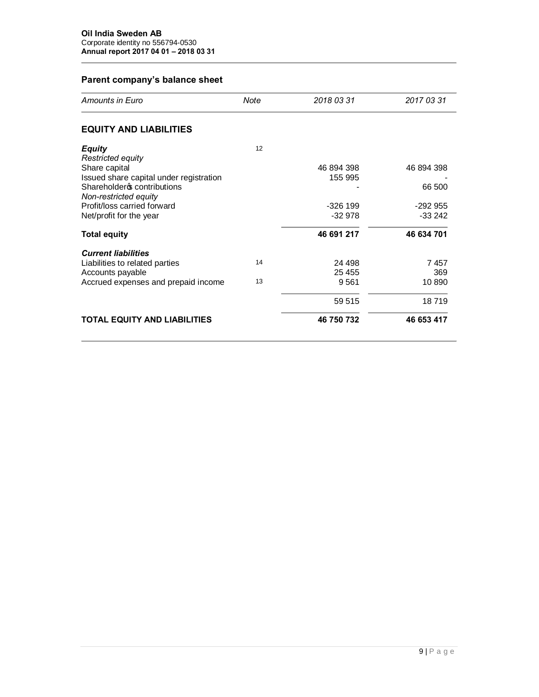# **Parent company's balance sheet**

| Amounts in Euro                         | Note | 2018 03 31 | 2017 03 31 |
|-----------------------------------------|------|------------|------------|
| <b>EQUITY AND LIABILITIES</b>           |      |            |            |
| <b>Equity</b>                           | 12   |            |            |
| Restricted equity                       |      |            |            |
| Share capital                           |      | 46 894 398 | 46 894 398 |
| Issued share capital under registration |      | 155 995    |            |
| Shareholdero contributions              |      |            | 66 500     |
| Non-restricted equity                   |      |            |            |
| Profit/loss carried forward             |      | $-326$ 199 | $-292955$  |
| Net/profit for the year                 |      | $-32978$   | $-33242$   |
| <b>Total equity</b>                     |      | 46 691 217 | 46 634 701 |
| <b>Current liabilities</b>              |      |            |            |
| Liabilities to related parties          | 14   | 24 498     | 7457       |
| Accounts payable                        |      | 25 455     | 369        |
| Accrued expenses and prepaid income     | 13   | 9561       | 10 890     |
|                                         |      | 59 515     | 18719      |
| <b>TOTAL EQUITY AND LIABILITIES</b>     |      | 46 750 732 | 46 653 417 |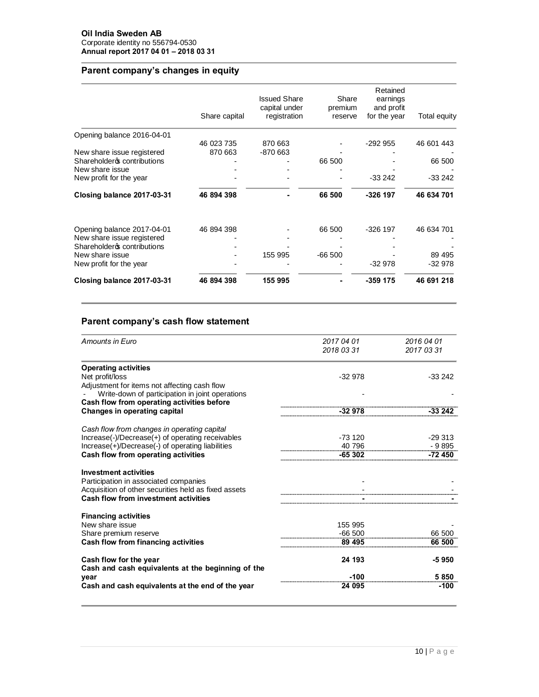# **Parent company's changes in equity**

|                             | Share capital | <b>Issued Share</b><br>capital under<br>registration | Share<br>premium<br>reserve | Retained<br>earnings<br>and profit<br>for the year | Total equity |
|-----------------------------|---------------|------------------------------------------------------|-----------------------------|----------------------------------------------------|--------------|
| Opening balance 2016-04-01  |               |                                                      |                             |                                                    |              |
|                             | 46 023 735    | 870 663                                              |                             | $-292955$                                          | 46 601 443   |
| New share issue registered  | 870 663       | -870 663                                             |                             |                                                    |              |
| Shareholderos contributions |               |                                                      | 66 500                      |                                                    | 66 500       |
| New share issue             |               |                                                      |                             |                                                    |              |
| New profit for the year     |               |                                                      |                             | -33 242                                            | $-33242$     |
| Closing balance 2017-03-31  | 46 894 398    |                                                      | 66 500                      | -326 197                                           | 46 634 701   |
| Opening balance 2017-04-01  | 46 894 398    |                                                      | 66 500                      | $-326$ 197                                         | 46 634 701   |
| New share issue registered  |               |                                                      |                             |                                                    |              |
| Shareholderos contributions |               |                                                      |                             |                                                    |              |
| New share issue             |               | 155 995                                              | $-66500$                    |                                                    | 89 495       |
| New profit for the year     |               |                                                      |                             | -32 978                                            | $-32978$     |
| Closing balance 2017-03-31  | 46 894 398    | 155 995                                              |                             | -359 175                                           | 46 691 218   |
|                             |               |                                                      |                             |                                                    |              |

# **Parent company's cash flow statement**

| Amounts in Euro                                                                                 | 2017 04 01 | 2016 04 01 |
|-------------------------------------------------------------------------------------------------|------------|------------|
|                                                                                                 | 2018 03 31 | 2017 03 31 |
| <b>Operating activities</b>                                                                     |            |            |
| Net profit/loss                                                                                 | $-32978$   | $-33242$   |
| Adjustment for items not affecting cash flow<br>Write-down of participation in joint operations |            |            |
| Cash flow from operating activities before                                                      |            |            |
| <b>Changes in operating capital</b>                                                             | $-32978$   | $-33242$   |
| Cash flow from changes in operating capital                                                     |            |            |
| Increase(-)/Decrease(+) of operating receivables                                                | $-73120$   | $-29.313$  |
| Increase(+)/Decrease(-) of operating liabilities                                                | 40 796     | $-9895$    |
| Cash flow from operating activities                                                             | -65 302    | $-72450$   |
| <b>Investment activities</b>                                                                    |            |            |
| Participation in associated companies                                                           |            |            |
| Acquisition of other securities held as fixed assets                                            |            |            |
| <b>Cash flow from investment activities</b>                                                     |            |            |
| <b>Financing activities</b>                                                                     |            |            |
| New share issue                                                                                 | 155 995    |            |
| Share premium reserve                                                                           | $-66500$   | 66 500     |
| Cash flow from financing activities                                                             | 89 495     | 66 500     |
| Cash flow for the year                                                                          | 24 193     | -5950      |
| Cash and cash equivalents at the beginning of the                                               |            |            |
| year                                                                                            | $-100$     | 5850       |
| Cash and cash equivalents at the end of the year                                                | 24 095     | $-100$     |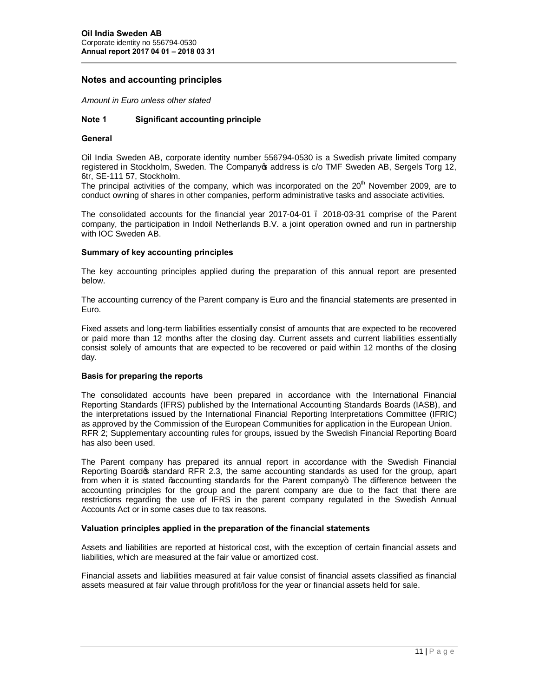## **Notes and accounting principles**

*Amount in Euro unless other stated*

### **Note 1 Significant accounting principle**

#### **General**

Oil India Sweden AB, corporate identity number 556794-0530 is a Swedish private limited company registered in Stockholm, Sweden. The Company os address is c/o TMF Sweden AB, Sergels Torg 12, 6tr, SE-111 57, Stockholm.

The principal activities of the company, which was incorporated on the  $20<sup>th</sup>$  November 2009, are to conduct owning of shares in other companies, perform administrative tasks and associate activities.

The consolidated accounts for the financial year 2017-04-01 – 2018-03-31 comprise of the Parent company, the participation in Indoil Netherlands B.V. a joint operation owned and run in partnership with IOC Sweden AB.

#### **Summary of key accounting principles**

The key accounting principles applied during the preparation of this annual report are presented below.

The accounting currency of the Parent company is Euro and the financial statements are presented in Euro.

Fixed assets and long-term liabilities essentially consist of amounts that are expected to be recovered or paid more than 12 months after the closing day. Current assets and current liabilities essentially consist solely of amounts that are expected to be recovered or paid within 12 months of the closing day.

#### **Basis for preparing the reports**

The consolidated accounts have been prepared in accordance with the International Financial Reporting Standards (IFRS) published by the International Accounting Standards Boards (IASB), and the interpretations issued by the International Financial Reporting Interpretations Committee (IFRIC) as approved by the Commission of the European Communities for application in the European Union. RFR 2; Supplementary accounting rules for groups, issued by the Swedish Financial Reporting Board has also been used.

The Parent company has prepared its annual report in accordance with the Swedish Financial Reporting Boardos standard RFR 2.3, the same accounting standards as used for the group, apart from when it is stated ‰ ccounting standards for the Parent company+. The difference between the accounting principles for the group and the parent company are due to the fact that there are restrictions regarding the use of IFRS in the parent company regulated in the Swedish Annual Accounts Act or in some cases due to tax reasons.

#### **Valuation principles applied in the preparation of the financial statements**

Assets and liabilities are reported at historical cost, with the exception of certain financial assets and liabilities, which are measured at the fair value or amortized cost.

Financial assets and liabilities measured at fair value consist of financial assets classified as financial assets measured at fair value through profit/loss for the year or financial assets held for sale.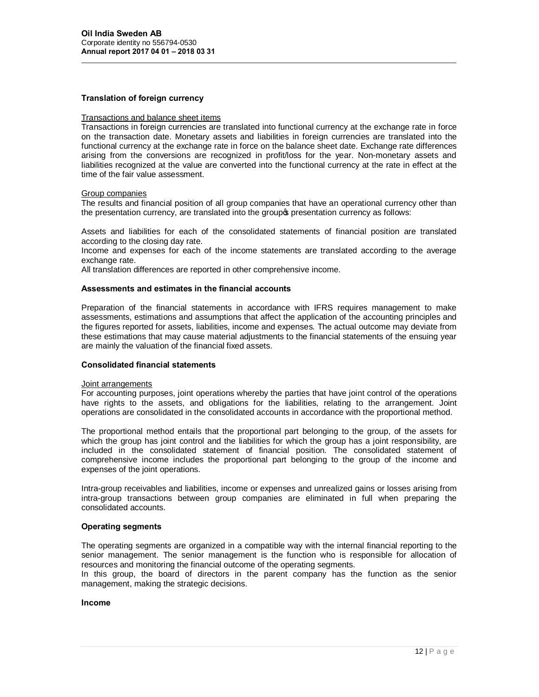#### **Translation of foreign currency**

#### Transactions and balance sheet items

Transactions in foreign currencies are translated into functional currency at the exchange rate in force on the transaction date. Monetary assets and liabilities in foreign currencies are translated into the functional currency at the exchange rate in force on the balance sheet date. Exchange rate differences arising from the conversions are recognized in profit/loss for the year. Non-monetary assets and liabilities recognized at the value are converted into the functional currency at the rate in effect at the time of the fair value assessment.

#### Group companies

The results and financial position of all group companies that have an operational currency other than the presentation currency, are translated into the group opresentation currency as follows:

Assets and liabilities for each of the consolidated statements of financial position are translated according to the closing day rate.

Income and expenses for each of the income statements are translated according to the average exchange rate.

All translation differences are reported in other comprehensive income.

#### **Assessments and estimates in the financial accounts**

Preparation of the financial statements in accordance with IFRS requires management to make assessments, estimations and assumptions that affect the application of the accounting principles and the figures reported for assets, liabilities, income and expenses. The actual outcome may deviate from these estimations that may cause material adjustments to the financial statements of the ensuing year are mainly the valuation of the financial fixed assets.

#### **Consolidated financial statements**

#### Joint arrangements

For accounting purposes, joint operations whereby the parties that have joint control of the operations have rights to the assets, and obligations for the liabilities, relating to the arrangement. Joint operations are consolidated in the consolidated accounts in accordance with the proportional method.

The proportional method entails that the proportional part belonging to the group, of the assets for which the group has joint control and the liabilities for which the group has a joint responsibility, are included in the consolidated statement of financial position. The consolidated statement of comprehensive income includes the proportional part belonging to the group of the income and expenses of the joint operations.

Intra-group receivables and liabilities, income or expenses and unrealized gains or losses arising from intra-group transactions between group companies are eliminated in full when preparing the consolidated accounts.

#### **Operating segments**

The operating segments are organized in a compatible way with the internal financial reporting to the senior management. The senior management is the function who is responsible for allocation of resources and monitoring the financial outcome of the operating segments.

In this group, the board of directors in the parent company has the function as the senior management, making the strategic decisions.

#### **Income**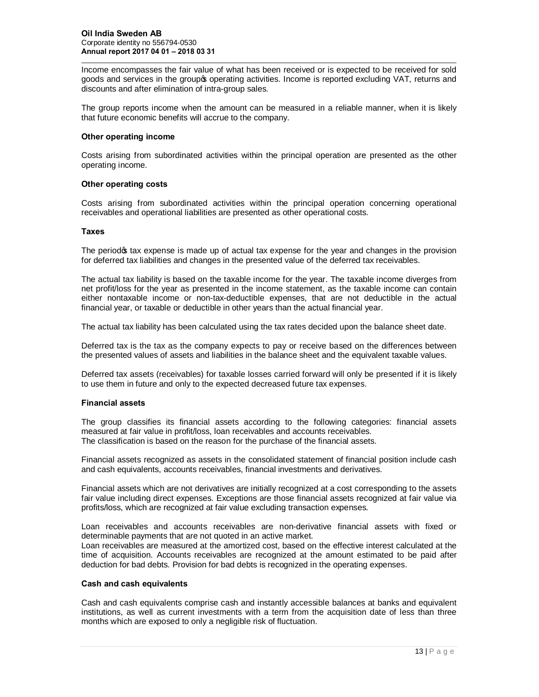Income encompasses the fair value of what has been received or is expected to be received for sold goods and services in the group to operating activities. Income is reported excluding VAT, returns and discounts and after elimination of intra-group sales.

The group reports income when the amount can be measured in a reliable manner, when it is likely that future economic benefits will accrue to the company.

#### **Other operating income**

Costs arising from subordinated activities within the principal operation are presented as the other operating income.

#### **Other operating costs**

Costs arising from subordinated activities within the principal operation concerning operational receivables and operational liabilities are presented as other operational costs.

#### **Taxes**

The period of tax expense is made up of actual tax expense for the year and changes in the provision for deferred tax liabilities and changes in the presented value of the deferred tax receivables.

The actual tax liability is based on the taxable income for the year. The taxable income diverges from net profit/loss for the year as presented in the income statement, as the taxable income can contain either nontaxable income or non-tax-deductible expenses, that are not deductible in the actual financial year, or taxable or deductible in other years than the actual financial year.

The actual tax liability has been calculated using the tax rates decided upon the balance sheet date.

Deferred tax is the tax as the company expects to pay or receive based on the differences between the presented values of assets and liabilities in the balance sheet and the equivalent taxable values.

Deferred tax assets (receivables) for taxable losses carried forward will only be presented if it is likely to use them in future and only to the expected decreased future tax expenses.

#### **Financial assets**

The group classifies its financial assets according to the following categories: financial assets measured at fair value in profit/loss, loan receivables and accounts receivables. The classification is based on the reason for the purchase of the financial assets.

Financial assets recognized as assets in the consolidated statement of financial position include cash and cash equivalents, accounts receivables, financial investments and derivatives.

Financial assets which are not derivatives are initially recognized at a cost corresponding to the assets fair value including direct expenses. Exceptions are those financial assets recognized at fair value via profits/loss, which are recognized at fair value excluding transaction expenses.

Loan receivables and accounts receivables are non-derivative financial assets with fixed or determinable payments that are not quoted in an active market.

Loan receivables are measured at the amortized cost, based on the effective interest calculated at the time of acquisition. Accounts receivables are recognized at the amount estimated to be paid after deduction for bad debts. Provision for bad debts is recognized in the operating expenses.

#### **Cash and cash equivalents**

Cash and cash equivalents comprise cash and instantly accessible balances at banks and equivalent institutions, as well as current investments with a term from the acquisition date of less than three months which are exposed to only a negligible risk of fluctuation.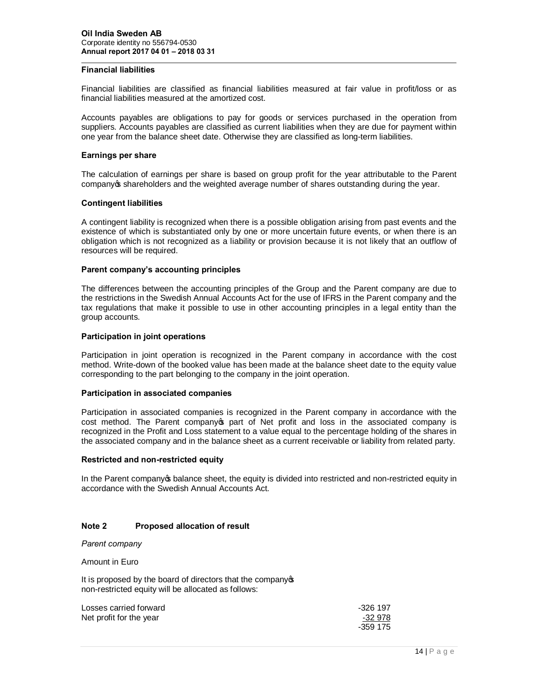#### **Financial liabilities**

Financial liabilities are classified as financial liabilities measured at fair value in profit/loss or as financial liabilities measured at the amortized cost.

Accounts payables are obligations to pay for goods or services purchased in the operation from suppliers. Accounts payables are classified as current liabilities when they are due for payment within one year from the balance sheet date. Otherwise they are classified as long-term liabilities.

#### **Earnings per share**

The calculation of earnings per share is based on group profit for the year attributable to the Parent company op shareholders and the weighted average number of shares outstanding during the year.

#### **Contingent liabilities**

A contingent liability is recognized when there is a possible obligation arising from past events and the existence of which is substantiated only by one or more uncertain future events, or when there is an obligation which is not recognized as a liability or provision because it is not likely that an outflow of resources will be required.

#### **Parent company's accounting principles**

The differences between the accounting principles of the Group and the Parent company are due to the restrictions in the Swedish Annual Accounts Act for the use of IFRS in the Parent company and the tax regulations that make it possible to use in other accounting principles in a legal entity than the group accounts.

#### **Participation in joint operations**

Participation in joint operation is recognized in the Parent company in accordance with the cost method. Write-down of the booked value has been made at the balance sheet date to the equity value corresponding to the part belonging to the company in the joint operation.

#### **Participation in associated companies**

Participation in associated companies is recognized in the Parent company in accordance with the cost method. The Parent company opart of Net profit and loss in the associated company is recognized in the Profit and Loss statement to a value equal to the percentage holding of the shares in the associated company and in the balance sheet as a current receivable or liability from related party.

#### **Restricted and non-restricted equity**

In the Parent company op balance sheet, the equity is divided into restricted and non-restricted equity in accordance with the Swedish Annual Accounts Act.

#### **Note 2 Proposed allocation of result**

*Parent company*

Amount in Euro

It is proposed by the board of directors that the company opnon-restricted equity will be allocated as follows:

| Losses carried forward  | -326 197 |
|-------------------------|----------|
| Net profit for the year | -32 978  |
|                         | -359 175 |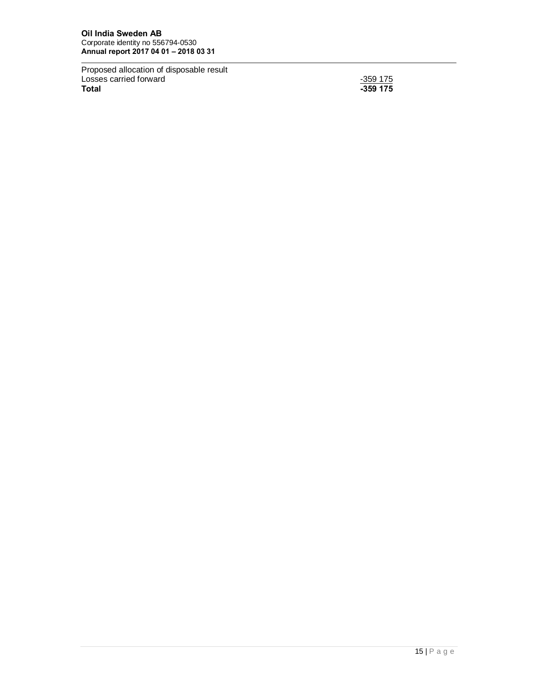Proposed allocation of disposable result Losses carried forward -359 175 **Total -359 175**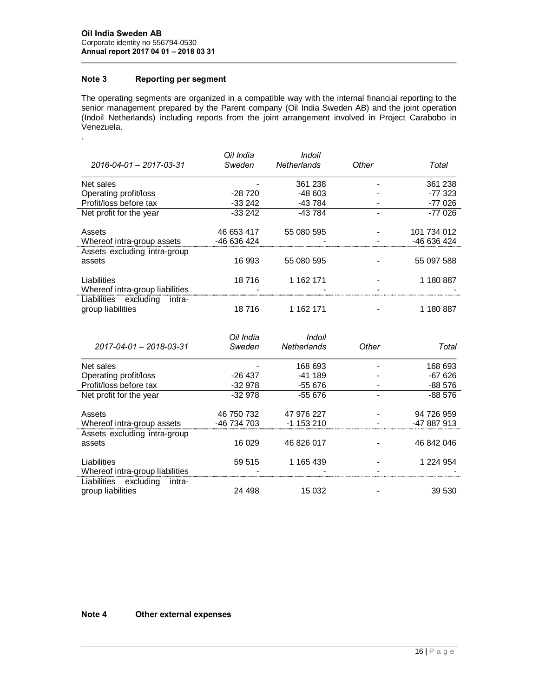# **Note 3 Reporting per segment**

.

The operating segments are organized in a compatible way with the internal financial reporting to the senior management prepared by the Parent company (Oil India Sweden AB) and the joint operation (Indoil Netherlands) including reports from the joint arrangement involved in Project Carabobo in Venezuela.

| 2016-04-01 - 2017-03-31                              | Oil India<br>Sweden | Indoil<br><b>Netherlands</b> | Other | Total       |
|------------------------------------------------------|---------------------|------------------------------|-------|-------------|
| Net sales                                            |                     | 361 238                      |       | 361 238     |
| Operating profit/loss                                | $-28720$            | $-48603$                     |       | -77 323     |
| Profit/loss before tax                               | $-33242$            | -43 784                      |       | -77 026     |
| Net profit for the year                              | $-33242$            | -43784                       |       | $-77026$    |
| Assets                                               | 46 653 417          | 55 080 595                   |       | 101 734 012 |
| Whereof intra-group assets                           | -46 636 424         |                              |       | -46 636 424 |
| Assets excluding intra-group<br>assets               | 16 993              | 55 080 595                   |       | 55 097 588  |
| Liabilities<br>Whereof intra-group liabilities       | 18716               | 1 162 171                    |       | 1 180 887   |
| Liabilities excluding<br>intra-<br>group liabilities | 18716               | 1 162 171                    |       | 1 180 887   |
| 2017-04-01 - 2018-03-31                              | Oil India<br>Sweden | Indoil<br>Netherlands        | Other | Total       |

| Net sales                       |             | 168 693    | 168 693     |
|---------------------------------|-------------|------------|-------------|
| Operating profit/loss           | $-26437$    | $-41189$   | $-67626$    |
| Profit/loss before tax          | $-32978$    | -55 676    | $-88576$    |
| Net profit for the year         | $-32978$    | $-55676$   | $-88576$    |
|                                 |             |            |             |
| Assets                          | 46 750 732  | 47 976 227 | 94 726 959  |
| Whereof intra-group assets      | -46 734 703 | $-1153210$ | -47 887 913 |
| Assets excluding intra-group    |             |            |             |
| assets                          | 16 029      | 46 826 017 | 46 842 046  |
|                                 |             |            |             |
| Liabilities                     | 59 515      | 1 165 439  | 1 224 954   |
| Whereof intra-group liabilities |             |            |             |
| Liabilities excluding<br>intra- |             |            |             |
| group liabilities               | 24 498      | 15 032     | 39 530      |

#### **Note 4 Other external expenses**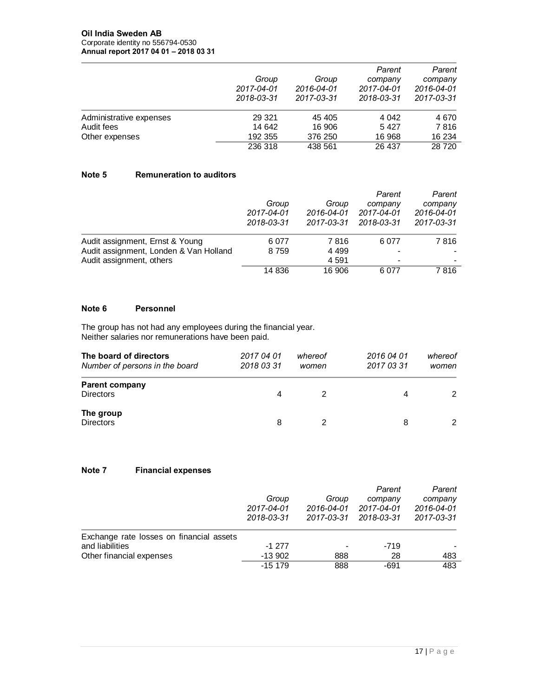|                         |            |            | Parent     | Parent     |
|-------------------------|------------|------------|------------|------------|
|                         | Group      | Group      | company    | company    |
|                         | 2017-04-01 | 2016-04-01 | 2017-04-01 | 2016-04-01 |
|                         | 2018-03-31 | 2017-03-31 | 2018-03-31 | 2017-03-31 |
| Administrative expenses | 29 3 21    | 45 405     | 4 0 4 2    | 4 6 7 0    |
| Audit fees              | 14 642     | 16 906     | 5427       | 7816       |
| Other expenses          | 192 355    | 376 250    | 16 968     | 16 234     |
|                         | 236 318    | 438 561    | 26 437     | 28 7 20    |

### **Note 5 Remuneration to auditors**

|                                        |            |            | Parent                   | Parent     |
|----------------------------------------|------------|------------|--------------------------|------------|
|                                        | Group      | Group      |                          | company    |
|                                        | 2017-04-01 | 2016-04-01 | 2017-04-01               | 2016-04-01 |
|                                        | 2018-03-31 | 2017-03-31 | 2018-03-31               | 2017-03-31 |
| Audit assignment, Ernst & Young        | 6077       | 7816       | 6077                     | 7816       |
| Audit assignment, Londen & Van Holland | 8759       | 4 4 9 9    | $\overline{\phantom{a}}$ |            |
| Audit assignment, others               |            | 4 5 9 1    | $\blacksquare$           |            |
|                                        | 14 836     | 16 906     | 6077                     | 7816       |

### **Note 6 Personnel**

The group has not had any employees during the financial year. Neither salaries nor remunerations have been paid.

| The board of directors<br>Number of persons in the board | 2017 04 01<br>2018 03 31 | whereof<br>women | 2016 04 01<br>2017 03 31 | whereof<br>women |
|----------------------------------------------------------|--------------------------|------------------|--------------------------|------------------|
| <b>Parent company</b><br><b>Directors</b>                | 4                        |                  | 4                        | $\mathcal{P}$    |
| The group<br><b>Directors</b>                            | 8                        |                  | 8                        | 2                |

## **Note 7 Financial expenses**

|                                          |                                   |                          | Parent     | Parent                              |  |
|------------------------------------------|-----------------------------------|--------------------------|------------|-------------------------------------|--|
|                                          | Group<br>2017-04-01<br>2018-03-31 | Group                    | company    | company<br>2016-04-01<br>2017-03-31 |  |
|                                          |                                   | 2016-04-01               | 2017-04-01 |                                     |  |
|                                          |                                   | 2017-03-31               | 2018-03-31 |                                     |  |
| Exchange rate losses on financial assets |                                   |                          |            |                                     |  |
| and liabilities                          | $-1277$                           | $\overline{\phantom{a}}$ | -719       |                                     |  |
| Other financial expenses                 | $-13902$                          | 888                      | 28         | 483                                 |  |
|                                          | $-15179$                          | 888                      | -691       | 483                                 |  |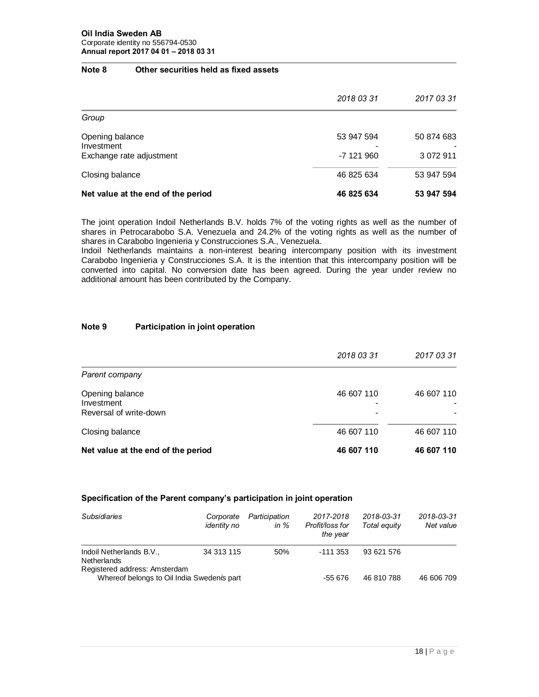#### **Note 8 Other securities held as fixed assets**

|                                                           | 2018 03 31               | 2017 03 31              |
|-----------------------------------------------------------|--------------------------|-------------------------|
| Group                                                     |                          |                         |
| Opening balance<br>Investment<br>Exchange rate adjustment | 53 947 594<br>-7 121 960 | 50 874 683<br>3 072 911 |
| Closing balance                                           | 46 825 634               | 53 947 594              |
| Net value at the end of the period                        | 46 825 634               | 53 947 594              |

The joint operation Indoil Netherlands B.V. holds 7% of the voting rights as well as the number of shares in Petrocarabobo S.A. Venezuela and 24.2% of the voting rights as well as the number of shares in Carabobo Ingenieria y Construcciones S.A., Venezuela.

Indoil Netherlands maintains a non-interest bearing intercompany position with its investment Carabobo Ingenieria y Construcciones S.A. It is the intention that this intercompany position will be converted into capital. No conversion date has been agreed. During the year under review no additional amount has been contributed by the Company.

#### **Note 9 Participation in joint operation**

|                                                         | 2018 03 31                                     | 2017 03 31 |
|---------------------------------------------------------|------------------------------------------------|------------|
| Parent company                                          |                                                |            |
| Opening balance<br>Investment<br>Reversal of write-down | 46 607 110<br>$\overline{\phantom{0}}$<br>$\,$ | 46 607 110 |
| Closing balance                                         | 46 607 110                                     | 46 607 110 |
| Net value at the end of the period                      | 46 607 110                                     | 46 607 110 |

### **Specification of the Parent company's participation in joint operation**

| <b>Subsidiaries</b>                                                         | Corporate<br>identity no | Participation<br>in $%$ | 2017-2018<br>Profit/loss for<br>the year | 2018-03-31<br>Total equity | 2018-03-31<br>Net value |
|-----------------------------------------------------------------------------|--------------------------|-------------------------|------------------------------------------|----------------------------|-------------------------|
| Indoil Netherlands B.V.,<br>Netherlands                                     | 34 313 115               | 50%                     | $-111353$                                | 93 621 576                 |                         |
| Registered address: Amsterdam<br>Whereof belongs to Oil India Swedencs part |                          |                         | -55 676                                  | 46 810 788                 | 46 606 709              |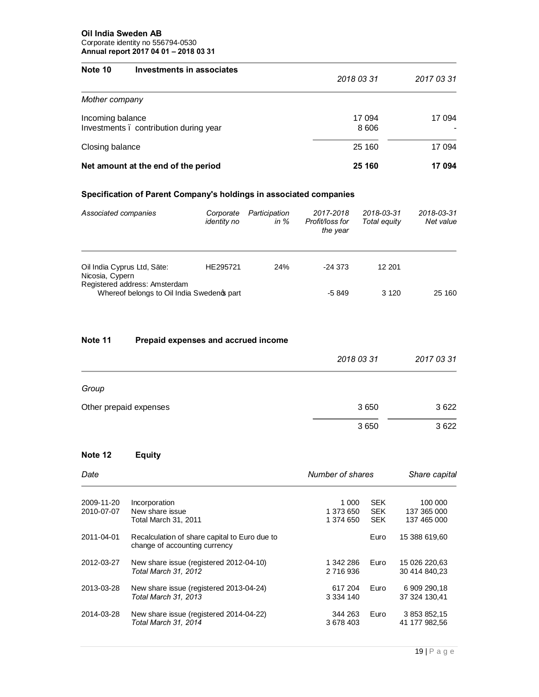#### **Oil India Sweden AB** Corporate identity no 556794-0530 **Annual report 2017 04 01 – 2018 03 31**

| Note 10          | Investments in associates              | 2018 03 31        | 2017 03 31 |
|------------------|----------------------------------------|-------------------|------------|
| Mother company   |                                        |                   |            |
| Incoming balance | Investments . contribution during year | 17 094<br>8 6 0 6 | 17 094     |
| Closing balance  |                                        | 25 160            | 17 094     |
|                  | Net amount at the end of the period    | 25 160            | 17 094     |

# **Specification of Parent Company's holdings in associated companies**

| Associated companies                                                        | Corporate<br><i>identity no</i> | Participation<br>in $%$ | 2017-2018<br>Profit/loss for<br>the year | 2018-03-31<br>Total equity | 2018-03-31<br>Net value |
|-----------------------------------------------------------------------------|---------------------------------|-------------------------|------------------------------------------|----------------------------|-------------------------|
| Oil India Cyprus Ltd, Säte:<br>Nicosia, Cypern                              | HE295721                        | 24%                     | $-24.373$                                | 12 201                     |                         |
| Registered address: Amsterdam<br>Whereof belongs to Oil India Swedengs part |                                 |                         | -5 849                                   | 3 1 2 0                    | 25 160                  |

# **Note 11 Prepaid expenses and accrued income**

|                        | 2018 03 31 | 2017 03 31 |
|------------------------|------------|------------|
| Group                  |            |            |
| Other prepaid expenses | 3650       | 3622       |
|                        | 3650       | 3622       |

# **Note 12 Equity**

| Date                     |                                                                                | Number of shares                |                                        | Share capital                         |  |
|--------------------------|--------------------------------------------------------------------------------|---------------------------------|----------------------------------------|---------------------------------------|--|
| 2009-11-20<br>2010-07-07 | Incorporation<br>New share issue<br><b>Total March 31, 2011</b>                | 1 000<br>1 373 650<br>1 374 650 | <b>SEK</b><br><b>SEK</b><br><b>SEK</b> | 100 000<br>137 365 000<br>137 465 000 |  |
| 2011-04-01               | Recalculation of share capital to Euro due to<br>change of accounting currency |                                 | Euro                                   | 15 388 619,60                         |  |
| 2012-03-27               | New share issue (registered 2012-04-10)<br>Total March 31, 2012                | 1 342 286<br>2 716 936          | Euro                                   | 15 026 220,63<br>30 414 840.23        |  |
| 2013-03-28               | New share issue (registered 2013-04-24)<br>Total March 31, 2013                | 617 204<br>3 3 3 4 1 4 0        | Euro                                   | 6 909 290,18<br>37 324 130.41         |  |
| 2014-03-28               | New share issue (registered 2014-04-22)<br>Total March 31, 2014                | 344 263<br>3 678 403            | Euro                                   | 3 853 852,15<br>41 177 982.56         |  |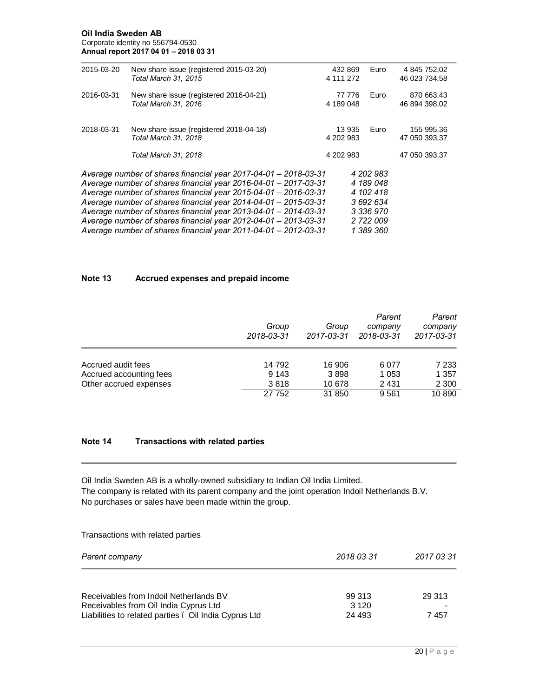#### **Oil India Sweden AB** Corporate identity no 556794-0530 **Annual report 2017 04 01 – 2018 03 31**

| 2015-03-20 | New share issue (registered 2015-03-20)<br>Total March 31, 2015                                                                                                                                                                                                                                                                                                                                                                                                                             | 432 869<br>4 111 272 | Euro                                                                                    | 4 845 752,02<br>46 023 734,58 |
|------------|---------------------------------------------------------------------------------------------------------------------------------------------------------------------------------------------------------------------------------------------------------------------------------------------------------------------------------------------------------------------------------------------------------------------------------------------------------------------------------------------|----------------------|-----------------------------------------------------------------------------------------|-------------------------------|
| 2016-03-31 | New share issue (registered 2016-04-21)<br>Total March 31, 2016                                                                                                                                                                                                                                                                                                                                                                                                                             | 77 776<br>4 189 048  | Euro                                                                                    | 870 663,43<br>46 894 398,02   |
| 2018-03-31 | New share issue (registered 2018-04-18)<br>Total March 31, 2018                                                                                                                                                                                                                                                                                                                                                                                                                             | 13 935<br>4 202 983  | Euro                                                                                    | 155 995,36<br>47 050 393,37   |
|            | Total March 31, 2018                                                                                                                                                                                                                                                                                                                                                                                                                                                                        | 4 202 983            |                                                                                         | 47 050 393,37                 |
|            | Average number of shares financial year 2017-04-01 - 2018-03-31<br>Average number of shares financial year 2016-04-01 - 2017-03-31<br>Average number of shares financial year 2015-04-01 - 2016-03-31<br>Average number of shares financial year 2014-04-01 - 2015-03-31<br>Average number of shares financial year 2013-04-01 - 2014-03-31<br>Average number of shares financial year $2012 - 04 - 01 - 2013 - 03 - 31$<br>Average number of shares financial year 2011-04-01 - 2012-03-31 |                      | 4 202 983<br>4 189 048<br>4 102 418<br>3 692 634<br>3 336 970<br>2 722 009<br>1 389 360 |                               |

### **Note 13 Accrued expenses and prepaid income**

|                         | Group<br>2018-03-31 | Group<br>2017-03-31 | Parent<br>company<br>2018-03-31 | Parent<br>company<br>2017-03-31 |
|-------------------------|---------------------|---------------------|---------------------------------|---------------------------------|
| Accrued audit fees      | 14 792              | 16 906              | 6077                            | 7 2 3 3                         |
| Accrued accounting fees | 9 1 4 3             | 3898                | 1 0 5 3                         | 1 357                           |
| Other accrued expenses  | 3818                | 10 678              | 2 4 3 1                         | 2 3 0 0                         |
|                         | 27 752              | 31 850              | 9561                            | 10 890                          |

# **Note 14 Transactions with related parties**

Oil India Sweden AB is a wholly-owned subsidiary to Indian Oil India Limited. The company is related with its parent company and the joint operation Indoil Netherlands B.V. No purchases or sales have been made within the group.

Transactions with related parties

| Parent company                                        | 2018 03 31 | 2017 03 31 |  |
|-------------------------------------------------------|------------|------------|--|
|                                                       |            |            |  |
| Receivables from Indoil Netherlands BV                | 99 313     | 29 313     |  |
| Receivables from Oil India Cyprus Ltd                 | 3 1 2 0    |            |  |
| Liabilities to related parties . Oil India Cyprus Ltd | 24 493     | 7457       |  |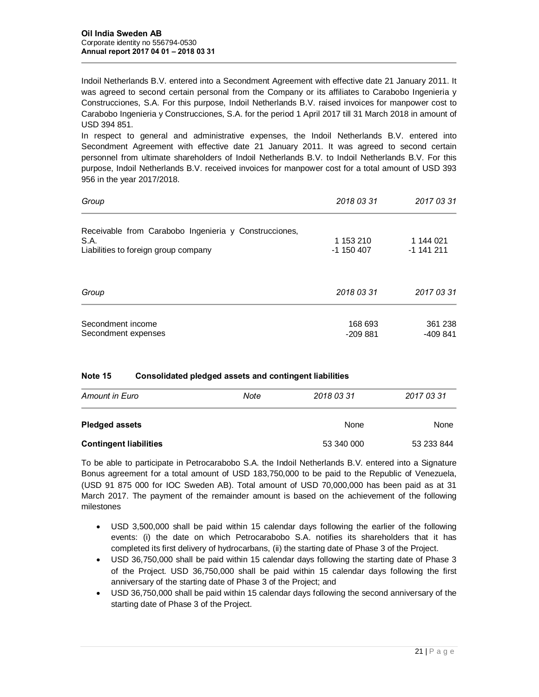Indoil Netherlands B.V. entered into a Secondment Agreement with effective date 21 January 2011. It was agreed to second certain personal from the Company or its affiliates to Carabobo Ingenieria y Construcciones, S.A. For this purpose, Indoil Netherlands B.V. raised invoices for manpower cost to Carabobo Ingenieria y Construcciones, S.A. for the period 1 April 2017 till 31 March 2018 in amount of USD 394 851.

In respect to general and administrative expenses, the Indoil Netherlands B.V. entered into Secondment Agreement with effective date 21 January 2011. It was agreed to second certain personnel from ultimate shareholders of Indoil Netherlands B.V. to Indoil Netherlands B.V. For this purpose, Indoil Netherlands B.V. received invoices for manpower cost for a total amount of USD 393 956 in the year 2017/2018.

| Group                                                 | 2018 03 31           | 2017 03 31           |
|-------------------------------------------------------|----------------------|----------------------|
| Receivable from Carabobo Ingenieria y Construcciones, |                      |                      |
| S.A.                                                  | 1 153 210            | 1 144 021            |
| Liabilities to foreign group company                  | -1 150 407           | $-1$ 141 211         |
| Group                                                 | 2018 03 31           | 2017 03 31           |
| Secondment income<br>Secondment expenses              | 168 693<br>$-209881$ | 361 238<br>$-409841$ |

### **Note 15 Consolidated pledged assets and contingent liabilities**

| <b>Amount in Euro</b>         | Note | 2018 03 31 | 2017 03 31  |
|-------------------------------|------|------------|-------------|
| <b>Pledged assets</b>         |      | None       | <b>None</b> |
| <b>Contingent liabilities</b> |      | 53 340 000 | 53 233 844  |

To be able to participate in Petrocarabobo S.A. the Indoil Netherlands B.V. entered into a Signature Bonus agreement for a total amount of USD 183,750,000 to be paid to the Republic of Venezuela, (USD 91 875 000 for IOC Sweden AB). Total amount of USD 70,000,000 has been paid as at 31 March 2017. The payment of the remainder amount is based on the achievement of the following milestones

- · USD 3,500,000 shall be paid within 15 calendar days following the earlier of the following events: (i) the date on which Petrocarabobo S.A. notifies its shareholders that it has completed its first delivery of hydrocarbans, (ii) the starting date of Phase 3 of the Project.
- · USD 36,750,000 shall be paid within 15 calendar days following the starting date of Phase 3 of the Project. USD 36,750,000 shall be paid within 15 calendar days following the first anniversary of the starting date of Phase 3 of the Project; and
- · USD 36,750,000 shall be paid within 15 calendar days following the second anniversary of the starting date of Phase 3 of the Project.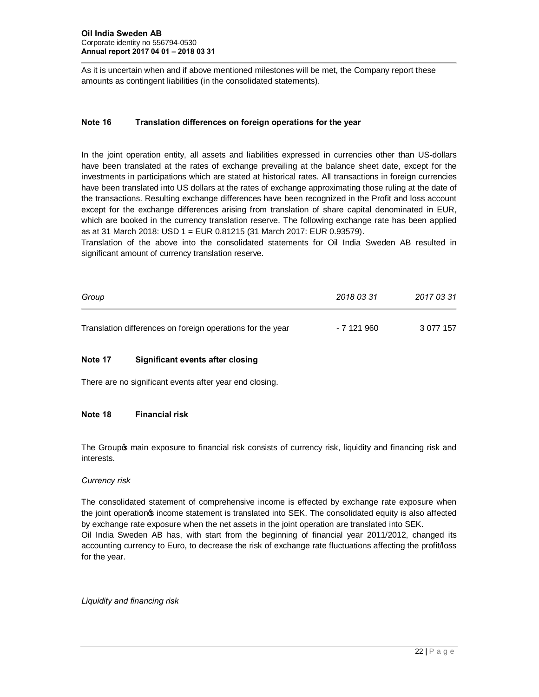As it is uncertain when and if above mentioned milestones will be met, the Company report these amounts as contingent liabilities (in the consolidated statements).

### **Note 16 Translation differences on foreign operations for the year**

In the joint operation entity, all assets and liabilities expressed in currencies other than US-dollars have been translated at the rates of exchange prevailing at the balance sheet date, except for the investments in participations which are stated at historical rates. All transactions in foreign currencies have been translated into US dollars at the rates of exchange approximating those ruling at the date of the transactions. Resulting exchange differences have been recognized in the Profit and loss account except for the exchange differences arising from translation of share capital denominated in EUR, which are booked in the currency translation reserve. The following exchange rate has been applied as at 31 March 2018: USD 1 = EUR 0.81215 (31 March 2017: EUR 0.93579).

Translation of the above into the consolidated statements for Oil India Sweden AB resulted in significant amount of currency translation reserve.

| Group                                                      | 2018 03 31  | 2017 03 31 |
|------------------------------------------------------------|-------------|------------|
| Translation differences on foreign operations for the year | - 7 121 960 | 3 077 157  |

### **Note 17 Significant events after closing**

There are no significant events after year end closing.

#### **Note 18 Financial risk**

The Group op main exposure to financial risk consists of currency risk, liquidity and financing risk and interests.

#### *Currency risk*

The consolidated statement of comprehensive income is effected by exchange rate exposure when the joint operation's income statement is translated into SEK. The consolidated equity is also affected by exchange rate exposure when the net assets in the joint operation are translated into SEK. Oil India Sweden AB has, with start from the beginning of financial year 2011/2012, changed its accounting currency to Euro, to decrease the risk of exchange rate fluctuations affecting the profit/loss for the year.

*Liquidity and financing risk*